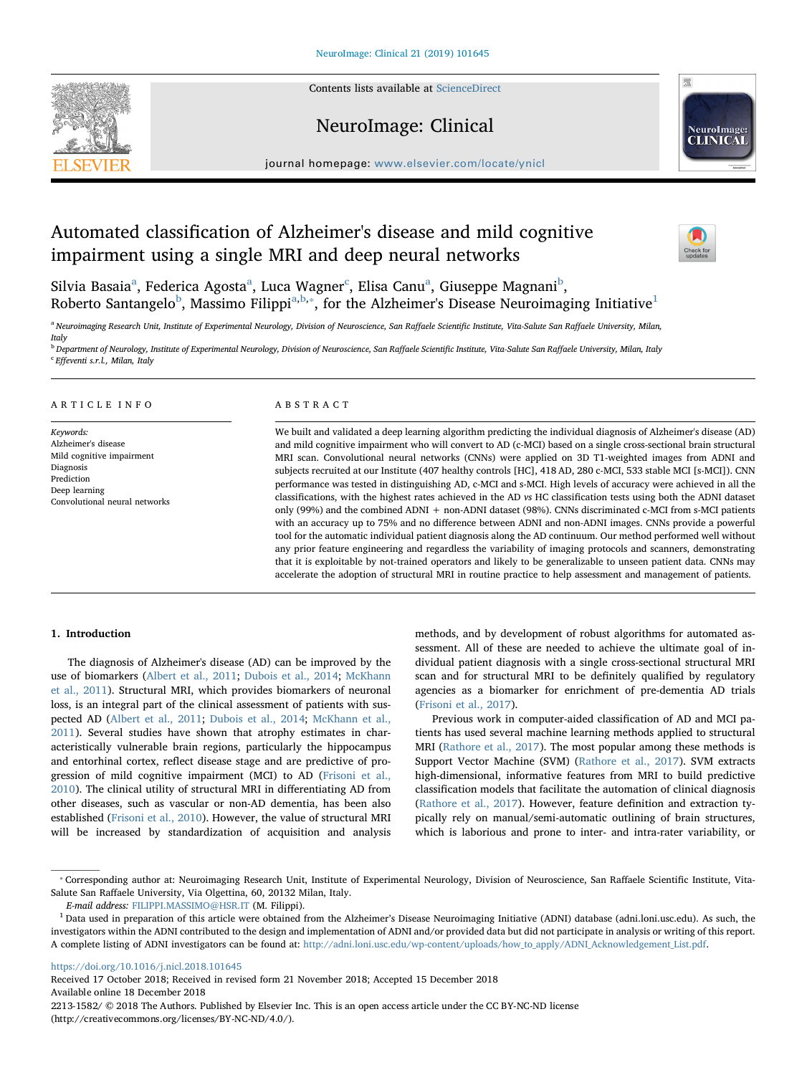Contents lists available at [ScienceDirect](http://www.sciencedirect.com/science/journal/22131582)







journal homepage: [www.elsevier.com/locate/ynicl](https://www.elsevier.com/locate/ynicl)

# Automated classification of Alzheimer's disease and mild cognitive impairment using a single MRI and deep neural networks



Silvi[a](#page-0-0) Basaia $^{\rm a}$ , Federi[c](#page-0-1)a Agosta $^{\rm a}$ , Luca Wagner $^{\rm c}$ , Elisa Canu $^{\rm a}$ , Giuseppe Magnani $^{\rm b}$  $^{\rm b}$  $^{\rm b}$ , Ro[b](#page-0-2)erto S[a](#page-0-0)ntangelo<sup>b</sup>, Massimo Filippi<sup>a[,b,](#page-0-2)\*</sup>, for the Alzheimer's Disease Neuroimaging Initiative<sup>[1](#page-0-4)</sup>

<span id="page-0-0"></span><sup>a</sup> Neuroimaging Research Unit, Institute of Experimental Neurology, Division of Neuroscience, San Raffaele Scientific Institute, Vita-Salute San Raffaele University, Milan, Italy

<span id="page-0-2"></span><span id="page-0-1"></span><sup>b</sup> Department of Neurology, Institute of Experimental Neurology, Division of Neuroscience, San Raffaele Scientific Institute, Vita-Salute San Raffaele University, Milan, Italy <sup>c</sup> Effeventi s.r.l., Milan, Italy

## ARTICLE INFO

Keywords: Alzheimer's disease Mild cognitive impairment Diagnosis Prediction Deep learning Convolutional neural networks

# ABSTRACT

We built and validated a deep learning algorithm predicting the individual diagnosis of Alzheimer's disease (AD) and mild cognitive impairment who will convert to AD (c-MCI) based on a single cross-sectional brain structural MRI scan. Convolutional neural networks (CNNs) were applied on 3D T1-weighted images from ADNI and subjects recruited at our Institute (407 healthy controls [HC], 418 AD, 280 c-MCI, 533 stable MCI [s-MCI]). CNN performance was tested in distinguishing AD, c-MCI and s-MCI. High levels of accuracy were achieved in all the classifications, with the highest rates achieved in the AD vs HC classification tests using both the ADNI dataset only (99%) and the combined ADNI + non-ADNI dataset (98%). CNNs discriminated c-MCI from s-MCI patients with an accuracy up to 75% and no difference between ADNI and non-ADNI images. CNNs provide a powerful tool for the automatic individual patient diagnosis along the AD continuum. Our method performed well without any prior feature engineering and regardless the variability of imaging protocols and scanners, demonstrating that it is exploitable by not-trained operators and likely to be generalizable to unseen patient data. CNNs may accelerate the adoption of structural MRI in routine practice to help assessment and management of patients.

# 1. Introduction

The diagnosis of Alzheimer's disease (AD) can be improved by the use of biomarkers [\(Albert et al., 2011](#page-7-0); [Dubois et al., 2014;](#page-7-1) [McKhann](#page-7-2) [et al., 2011](#page-7-2)). Structural MRI, which provides biomarkers of neuronal loss, is an integral part of the clinical assessment of patients with suspected AD ([Albert et al., 2011](#page-7-0); [Dubois et al., 2014](#page-7-1); [McKhann et al.,](#page-7-2) [2011\)](#page-7-2). Several studies have shown that atrophy estimates in characteristically vulnerable brain regions, particularly the hippocampus and entorhinal cortex, reflect disease stage and are predictive of progression of mild cognitive impairment (MCI) to AD [\(Frisoni et al.,](#page-7-3) [2010\)](#page-7-3). The clinical utility of structural MRI in differentiating AD from other diseases, such as vascular or non-AD dementia, has been also established [\(Frisoni et al., 2010](#page-7-3)). However, the value of structural MRI will be increased by standardization of acquisition and analysis

methods, and by development of robust algorithms for automated assessment. All of these are needed to achieve the ultimate goal of individual patient diagnosis with a single cross-sectional structural MRI scan and for structural MRI to be definitely qualified by regulatory agencies as a biomarker for enrichment of pre-dementia AD trials ([Frisoni et al., 2017](#page-7-4)).

Previous work in computer-aided classification of AD and MCI patients has used several machine learning methods applied to structural MRI [\(Rathore et al., 2017](#page-7-5)). The most popular among these methods is Support Vector Machine (SVM) [\(Rathore et al., 2017](#page-7-5)). SVM extracts high-dimensional, informative features from MRI to build predictive classification models that facilitate the automation of clinical diagnosis ([Rathore et al., 2017](#page-7-5)). However, feature definition and extraction typically rely on manual/semi-automatic outlining of brain structures, which is laborious and prone to inter- and intra-rater variability, or

<https://doi.org/10.1016/j.nicl.2018.101645>

Received 17 October 2018; Received in revised form 21 November 2018; Accepted 15 December 2018 Available online 18 December 2018

2213-1582/ © 2018 The Authors. Published by Elsevier Inc. This is an open access article under the CC BY-NC-ND license (http://creativecommons.org/licenses/BY-NC-ND/4.0/).

<span id="page-0-3"></span><sup>⁎</sup> Corresponding author at: Neuroimaging Research Unit, Institute of Experimental Neurology, Division of Neuroscience, San Raffaele Scientific Institute, Vita-Salute San Raffaele University, Via Olgettina, 60, 20132 Milan, Italy.

E-mail address: [FILIPPI.MASSIMO@HSR.IT](mailto:FILIPPI.MASSIMO@HSR.IT) (M. Filippi).

<span id="page-0-4"></span> $1$  Data used in preparation of this article were obtained from the Alzheimer's Disease Neuroimaging Initiative (ADNI) database (adni.loni.usc.edu). As such, the investigators within the ADNI contributed to the design and implementation of ADNI and/or provided data but did not participate in analysis or writing of this report. A complete listing of ADNI investigators can be found at: [http://adni.loni.usc.edu/wp-content/uploads/how\\_to\\_apply/ADNI\\_Acknowledgement\\_List.pdf.](http://adni.loni.usc.edu/wp-content/uploads/how_to_apply/ADNI_Acknowledgement_List.pdf)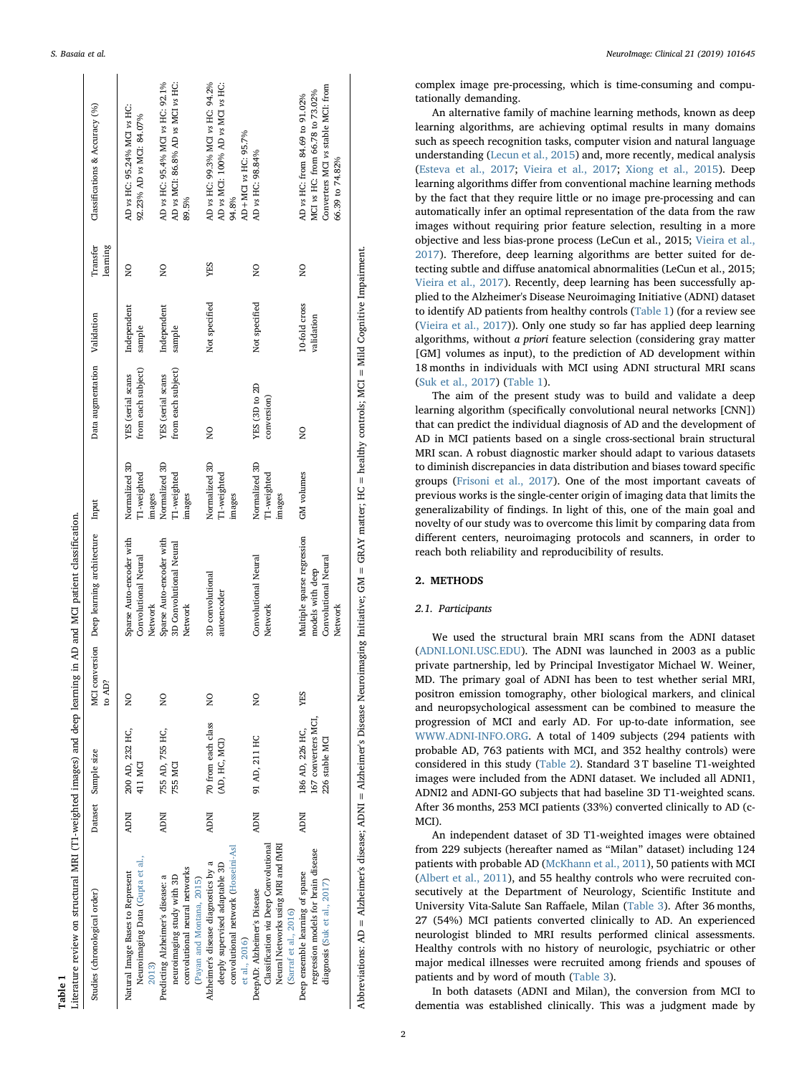<span id="page-1-0"></span>

| Literature review on structural MRI (T1-weighted images) and deep learning in AD and MCI patient classification.                                                       |            |                                                         |                         |                                                                                   |                                        |                                         |                             |                      |                                                                                                                            |
|------------------------------------------------------------------------------------------------------------------------------------------------------------------------|------------|---------------------------------------------------------|-------------------------|-----------------------------------------------------------------------------------|----------------------------------------|-----------------------------------------|-----------------------------|----------------------|----------------------------------------------------------------------------------------------------------------------------|
| Studies (chronological order)                                                                                                                                          |            | Dataset Sample size                                     | to AD?                  | MCI conversion Deep learning architecture Input                                   |                                        | Data augmentation Validation            |                             | Transfer<br>learning | Classifications & Accuracy (%)                                                                                             |
| Neuroimaging Data (Gupta et al.,<br>Natural Image Bases to Represent                                                                                                   | <b>NOW</b> | 200 AD, 232 HC,<br>411 MCI                              | $\frac{1}{2}$           | Sparse Auto-encoder with<br>Convolutional Neural<br>Network                       | Normalized 3D<br>T1-weighted<br>images | from each subject)<br>YES (serial scans | Independent<br>sample       | $\overline{a}$       | AD vs HC: 95.24% MCI vs HC:<br>92.23% AD vs MCI: 84.07%                                                                    |
| convolutional neural networks<br>Predicting Alzheimer's disease: a<br>neuroimaging study with 3D<br>(Payan and Montana, 2015)                                          | <b>NOW</b> | 755 AD, 755 HC,<br>755 MCI                              | $\overline{a}$          | Sparse Auto-encoder with<br>3D Convolutional Neural<br>Network                    | Normalized 3D<br>T1-weighted<br>images | from each subject)<br>YES (serial scans | Independent<br>sample       | $\frac{1}{2}$        | AD vs HC: 95.4% MCI vs HC: 92.1%<br>AD vs MCI: 86.8% AD vs MCI vs HC:<br>89.5%                                             |
| convolutional network (Hosseini-Asl<br>Alzheimer's disease diagnostics by a<br>deeply supervised adaptable 3D<br>et al., 2016)                                         | <b>NOW</b> | 70 from each class<br>(AD, HC, MCI)                     | $\overline{\mathsf{S}}$ | 3D convolutional<br>autoencoder                                                   | Normalized 3D<br>T1-weighted<br>images | $\overline{\mathsf{S}}$                 | Not specified               | <b>SHA</b>           | AD vs HC: 99.3% MCI vs HC: 94.2%<br>AD vs MCI: 100% AD vs MCI vs HC:<br>AD+MCI vs HC: 95.7%<br>94.8%                       |
| Neural Networks using MRI and fMRI<br>Classification via Deep Convolutional<br>DeepAD: Alzheimer's Disease<br>(Sarraf et al., 2016)                                    | <b>NUW</b> | 91 AD, 211 HC                                           | $\overline{a}$          | Convolutional Neural<br>Network                                                   | Normalized 3D<br>T1-weighted<br>images | YES (3D to 2D<br>conversion)            | Not specified               | $\overline{a}$       | AD vs HC: 98.84%                                                                                                           |
| regression models for brain disease<br>Deep ensemble learning of sparse<br>diagnosis (Suk et al., 2017)                                                                | <b>NOW</b> | 167 converters MCI<br>186 AD, 226 HC,<br>226 stable MCI | <b>YES</b>              | Multiple sparse regression<br>Convolutional Neural<br>models with deep<br>Network | GM volumes                             | $\overline{\mathsf{S}}$                 | 10-fold cross<br>validation | $_{\rm z}^{\rm o}$   | Converters MCI vs stable MCI: from<br>MCI vs HC: from 66.78 to 73.02%<br>AD vs HC: from 84.69 to 91.02%<br>66.39 to 74.82% |
| Abbreviations: AD = Alzheimer's disease; ADNI = Alzheimer's Disease Neuroimaging Initiative; GM = GRAY matter; HC = healthy controls; MCI = Mild Cognitive Impairment. |            |                                                         |                         |                                                                                   |                                        |                                         |                             |                      |                                                                                                                            |

| S. Basaia et al. | NeuroImage: Clinical 21 (2019) 101645 |
|------------------|---------------------------------------|
|                  |                                       |

complex image pre-processing, which is time-consuming and computationally demanding.

An alternative family of machine learning methods, known as deep learning algorithms, are achieving optimal results in many domains such as speech recognition tasks, computer vision and natural language understanding [\(Lecun et al., 2015\)](#page-7-6) and, more recently, medical analysis ([Esteva et al., 2017](#page-7-7); [Vieira et al., 2017;](#page-7-8) [Xiong et al., 2015](#page-7-9)). Deep learning algorithms differ from conventional machine learning methods by the fact that they require little or no image pre-processing and can automatically infer an optimal representation of the data from the raw images without requiring prior feature selection, resulting in a more objective and less bias-prone process (LeCun et al., 2015; [Vieira et al.,](#page-7-8) [2017\)](#page-7-8). Therefore, deep learning algorithms are better suited for detecting subtle and diffuse anatomical abnormalities (LeCun et al., 2015; [Vieira et al., 2017](#page-7-8)). Recently, deep learning has been successfully applied to the Alzheimer's Disease Neuroimaging Initiative (ADNI) dataset to identify AD patients from healthy controls ([Table 1\)](#page-1-0) (for a review see ([Vieira et al., 2017\)](#page-7-8)). Only one study so far has applied deep learning algorithms, without a priori feature selection (considering gray matter [GM] volumes as input), to the prediction of AD development within 18 months in individuals with MCI using ADNI structural MRI scans ([Suk et al., 2017\)](#page-7-10) ([Table 1](#page-1-0)).

The aim of the present study was to build and validate a deep learning algorithm (specifically convolutional neural networks [CNN]) that can predict the individual diagnosis of AD and the development of AD in MCI patients based on a single cross-sectional brain structural MRI scan. A robust diagnostic marker should adapt to various datasets to diminish discrepancies in data distribution and biases toward specific groups [\(Frisoni et al., 2017](#page-7-4)). One of the most important caveats of previous works is the single-center origin of imaging data that limits the generalizability of findings. In light of this, one of the main goal and novelty of our study was to overcome this limit by comparing data from different centers, neuroimaging protocols and scanners, in order to reach both reliability and reproducibility of results.

# 2. METHODS

# 2.1. Participants

We used the structural brain MRI scans from the ADNI dataset ([ADNI.LONI.USC.EDU\)](http://adni.loni.usc.edu). The ADNI was launched in 2003 as a public private partnership, led by Principal Investigator Michael W. Weiner, MD. The primary goal of ADNI has been to test whether serial MRI, positron emission tomography, other biological markers, and clinical and neuropsychological assessment can be combined to measure the progression of MCI and early AD. For up-to-date information, see [WWW.ADNI-INFO.ORG](http://www.adni-info.org). A total of 1409 subjects (294 patients with probable AD, 763 patients with MCI, and 352 healthy controls) were considered in this study [\(Table 2](#page-2-0)). Standard 3 T baseline T1-weighted images were included from the ADNI dataset. We included all ADNI1, ADNI2 and ADNI-GO subjects that had baseline 3D T1-weighted scans. After 36 months, 253 MCI patients (33%) converted clinically to AD (c-MCI).

An independent dataset of 3D T1-weighted images were obtained from 229 subjects (hereafter named as "Milan" dataset) including 124 patients with probable AD ([McKhann et al., 2011](#page-7-2)), 50 patients with MCI ([Albert et al., 2011\)](#page-7-0), and 55 healthy controls who were recruited consecutively at the Department of Neurology, Scientific Institute and University Vita-Salute San Raffaele, Milan [\(Table 3](#page-3-0)). After 36 months, 27 (54%) MCI patients converted clinically to AD. An experienced neurologist blinded to MRI results performed clinical assessments. Healthy controls with no history of neurologic, psychiatric or other major medical illnesses were recruited among friends and spouses of patients and by word of mouth [\(Table 3\)](#page-3-0).

In both datasets (ADNI and Milan), the conversion from MCI to dementia was established clinically. This was a judgment made by

Table 1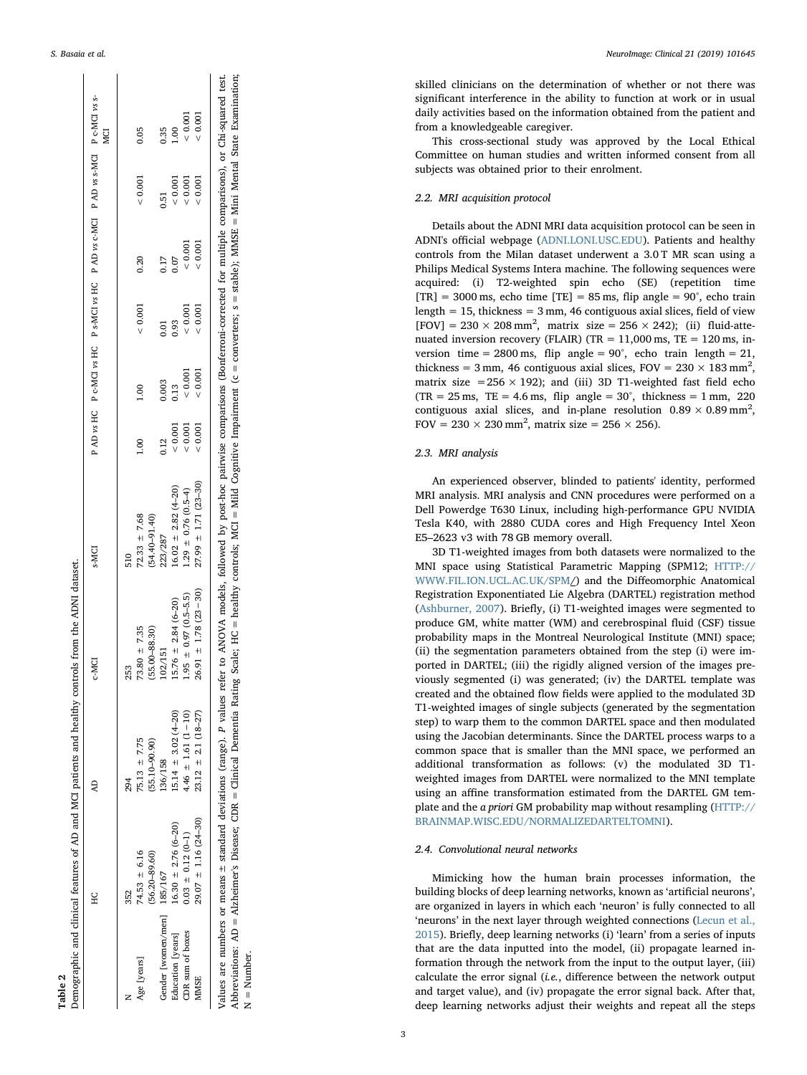<span id="page-2-0"></span>

|                                            | HC                                                | Ę                                                    | <b>C-MCI</b>                                                                                                                                                                                               | <b>S-MCI</b>                                     |                  |              |               | P AD vs HC P c-MCI vs HC P s-MCI vs HC P AD vs c-MCI P AD vs s-MCI P c-MCI vs s- |                      | MCI                    |
|--------------------------------------------|---------------------------------------------------|------------------------------------------------------|------------------------------------------------------------------------------------------------------------------------------------------------------------------------------------------------------------|--------------------------------------------------|------------------|--------------|---------------|----------------------------------------------------------------------------------|----------------------|------------------------|
| Age [years]                                | $74.53 \pm 6.16$<br>$(56.20 - 89.60)$<br>352      | $75.13 \pm 7.75$<br>$[55.10 - 90.90]$<br>294         | $73.80 \pm 7.35$<br>$(55.00 - 88.30)$<br>253                                                                                                                                                               | $(54.40 - 91.40)$<br>$72.33 \pm 7.68$<br>510     | $\frac{8}{1}$    |              | < 0.001       | 0.20                                                                             | < 0.001              | 0.05                   |
| Gender [women/men] 185/167                 |                                                   | 136/158                                              | 102/151                                                                                                                                                                                                    | 223/287                                          | 0.12             | 0.003        | 0.01          | 0.17                                                                             | 3.51                 | 0.35                   |
| <b>DR</b> sum of boxes<br>ducation [years] | $16.30 \pm 2.76 (6 - 20)$<br>$0.03 \pm 0.12(0-1)$ | $1.46 \pm 1.61 (1 - 10)$<br>$5.14 \pm 3.02 (4 - 20)$ | $1.95 \pm 0.97 (0.5 - 5.5)$<br>$15.76 \pm 2.84 (6 - 20)$                                                                                                                                                   | $16.02 \pm 2.82(4-20)$<br>.29 $\pm$ 0.76 (0.5-4) | 0.001<br>< 0.001 | 0.001<br>113 | 20001<br>0.93 | 20001<br>0.07                                                                    | (0.001)<br>$= 0.001$ | 0.001<br>$\frac{8}{1}$ |
| <b>MINISE</b>                              | $29.07 \pm 1.16 (24 - 30)$                        | $23.12 \pm 2.1 (18 - 27)$                            | $26.91 \pm 1.78$ (23 - 30)                                                                                                                                                                                 | $27.99 \pm 1.71 (23 - 30)$                       | < 0.001          | 0.001        | : 0.001       | : 0.001                                                                          | 0.001                | 0.001                  |
|                                            |                                                   |                                                      | Values are numbers or means ± standard deviations (range). P values refer to ANOVA models, followed by post-hoc pairwise comparisons (Bonferroni-corrected for multiple comparisons), or Chi-squared test. |                                                  |                  |              |               |                                                                                  |                      |                        |

Table 2

Demographic and clinical features of AD and MCI patients and healthy controls from the ADNI dataset.

Demographic and clinical features of AD and MCI patients and healthy controls from the ADNI dataset.

Abbreviations: AD = Alzheimer's Disease; CDR = Clinical Dementa Rating Scale; HC = healthy controls; MCI = Mild Cognitive Impairment (c = converters; s = stable); MMSE = Mini Mental State Examination;<br>N = Number. Abbreviations: AD = Alzheimer's Disease; CDR = Clinical Dementia Rating Scale; HC = healthy controls; MCI = Mild Cognitive Impairment (c = converters; s = stable); MMSE = Mini Mental State Examination; N = Number.

skilled clinicians on the determination of whether or not there was signi ficant interference in the ability to function at work or in usual daily activities based on the information obtained from the patient and from a knowledgeable caregiver.

This cross-sectional study was approved by the Local Ethical Committee on human studies and written informed consent from all subjects was obtained prior to their enrolment.

## 2.2. MRI acquisition protocol

Details about the ADNI MRI data acquisition protocol can be seen in ADNI's o fficial webpage [\(ADNI.LONI.USC.EDU\)](http://adni.loni.usc.edu). Patients and healthy controls from the Milan dataset underwent a 3.0 T MR scan using a Philips Medical Systems Intera machine. The following sequences were acquired: (i) T2-weighted spin echo (SE) (repetition time [TR] =  $3000 \text{ ms}$ , echo time [TE] =  $85 \text{ ms}$ , flip angle =  $90^{\circ}$ , echo train length = 15, thickness = 3 mm, 46 contiguous axial slices, field of view [FOV] =  $230 \times 208$  mm<sup>2</sup>, matrix size =  $256 \times 242$ ); (ii) fluid-attenuated inversion recovery (FLAIR) (TR =  $11,000$  ms, TE =  $120$  ms, inversion time =  $2800 \text{ ms}$ , flip angle =  $90^{\circ}$ , echo train length =  $21$ , thickness = 3 mm, 46 contiguous axial slices, FOV =  $230 \times 183$  mm<sup>2</sup>, matrix size =  $256 \times 192$ ); and (iii) 3D T1-weighted fast field echo  $(TR = 25 \text{ ms}, TE = 4.6 \text{ ms}, \text{ flip angle} = 30^{\circ}, \text{ thickness} = 1 \text{ mm}, 220$ contiguous axial slices, and in-plane resolution  $0.89 \times 0.89$  mm<sup>2</sup>, FOV =  $230 \times 230$  mm<sup>2</sup>, matrix size =  $256 \times 256$ ).

## 2.3. MRI analysis

An experienced observer, blinded to patients' identity, performed MRI analysis. MRI analysis and CNN procedures were performed on a Dell Powerdge T630 Linux, including high-performance GPU NVIDIA Tesla K40, with 2880 CUDA cores and High Frequency Intel Xeon E5 –2623 v3 with 78 GB memory overall.

3D T1-weighted images from both datasets were normalized to the MNI space using Statistical Parametric Mapping (SPM12; [HTTP://](http://www.fil.ion.ucl.ac.uk/spm) [WWW.FIL.ION.UCL.AC.UK/SPM](http://www.fil.ion.ucl.ac.uk/spm)*[]* and the Diffeomorphic Anatomical Registration Exponentiated Lie Algebra (DARTEL) registration method ([Ashburner, 2007](#page-7-15)). Briefly, (i) T1-weighted images were segmented to produce GM, white matter (WM) and cerebrospinal fluid (CSF) tissue probability maps in the Montreal Neurological Institute (MNI) space; (ii) the segmentation parameters obtained from the step (i) were imported in DARTEL; (iii) the rigidly aligned version of the images previously segmented (i) was generated; (iv) the DARTEL template was created and the obtained flow fields were applied to the modulated 3D T1-weighted images of single subjects (generated by the segmentation step) to warp them to the common DARTEL space and then modulated using the Jacobian determinants. Since the DARTEL process warps to a common space that is smaller than the MNI space, we performed an additional transformation as follows: (v) the modulated 3D T1 weighted images from DARTEL were normalized to the MNI template using an a ffine transformation estimated from the DARTEL GM template and the a priori GM probability map without resampling ([HTTP://](http://brainmap.wisc.edu/normalizeDARTELtoMNI) [BRAINMAP.WISC.EDU/NORMALIZEDARTELTOMNI\)](http://brainmap.wisc.edu/normalizeDARTELtoMNI).

# 2.4. Convolutional neural networks

Mimicking how the human brain processes information, the building blocks of deep learning networks, known as 'artificial neurons', are organized in layers in which each 'neuron ' is fully connected to all 'neurons ' in the next layer through weighted connections [\(Lecun et al.,](#page-7-6) [2015\)](#page-7-6). Brie fly, deep learning networks (i) 'learn ' from a series of inputs that are the data inputted into the model, (ii) propagate learned information through the network from the input to the output layer, (iii) calculate the error signal (i.e., di fference between the network output and target value), and (iv) propagate the error signal back. After that, deep learning networks adjust their weights and repeat all the steps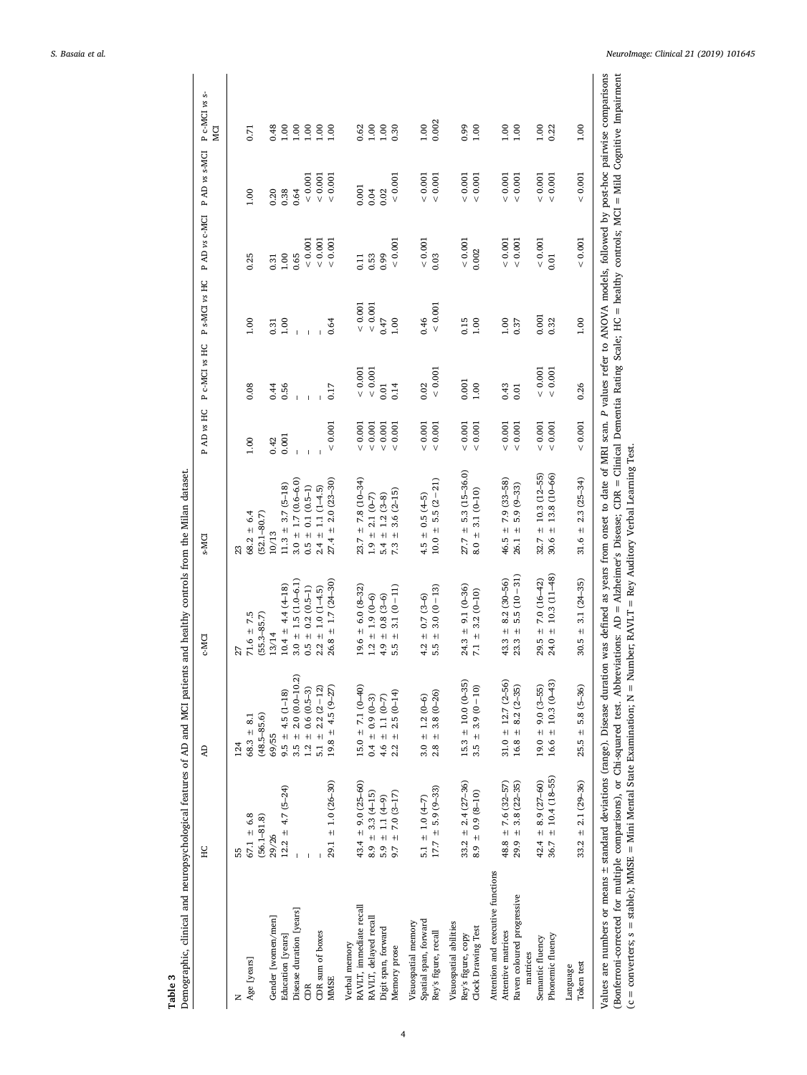<span id="page-3-0"></span>

| $67.1 \pm 6.8$<br>55<br>Age [years]<br>z               | <b>Q</b>              |                              | c-MCI                            | s-MCI                       | P AD vs HC   | P c-MCI vs HC  | P s-MCI vs HC |             | PAD vs c-MCI PAD vs s-MCI | P c-MCI vs s-<br>MCI |
|--------------------------------------------------------|-----------------------|------------------------------|----------------------------------|-----------------------------|--------------|----------------|---------------|-------------|---------------------------|----------------------|
|                                                        | 124                   |                              | 27                               | 23                          |              |                |               |             |                           |                      |
|                                                        | $68.3 \pm 8.1$        |                              | $71.6 \pm 7.5$                   | $68.2 \pm 6.4$              | 1.00         | 0.08           | 1.00          | 0.25        | 1.00                      | 0.71                 |
| $(56.1 - 81.8)$                                        | $(48.5 - 85.6)$       |                              | $(55.3 - 85.7)$                  | $(52.1 - 80.7)$             |              |                |               |             |                           |                      |
| 29/26<br>Gender [women/men]                            | 69/55                 |                              | 13/14                            | 10/13                       | 0.42         | 0.44           | 0.31          | 0.31        | 0.20                      | 0.48                 |
| $12.2 \pm 4.7$ (5-24)<br>Education [years]             |                       | $9.5 \pm 4.5 (1 - 18)$       | $10.4 \pm 4.4 \,(4-18)$          | $11.3 \pm 3.7$ (5-18)       | 0.001        | 0.56           | 1.00          | 1.00        | 0.38                      | 0.001                |
| Disease duration [years]                               |                       | $3.5 \pm 2.0 \ (0.0 - 10.2)$ | $3.0 \pm 1.5 (1.0 - 6.1)$        | $3.0 \pm 1.7(0.6 - 6.0)$    | $\mathbf{I}$ | $\overline{1}$ |               | 0.65        | 0.64                      | 0.100                |
| ŒR                                                     |                       | $1.2 \pm 0.6$ (0.5-3)        | $0.5 \pm 0.2$ (0.5-1)            | $0.5 \pm 0.1$ (0.5-1)       | Ï            |                |               | ${}< 0.001$ | ${}< 0.001$               | 1.00                 |
| CDR sum of boxes                                       |                       | $5.1 \pm 2.2 (2 - 12)$       | $2.2 \pm 1.0 (1 - 4.5)$          | $2.4 \pm 1.1 (1 - 4.5)$     |              |                |               | < 0.001     | < 0.001                   | 0.00                 |
| $29.1 \pm 1.0 (26 - 30)$<br><b>MMSE</b>                |                       | $19.8 \pm 4.5 (9 - 27)$      | $26.8 \pm 1.7(24 - 30)$          | $27.4 \pm 2.0 (23 - 30)$    | < 0.001      | 0.17           | 0.64          | < 0.001     | < 0.001                   | 0.100                |
| Verbal memory                                          |                       |                              |                                  |                             |              |                |               |             |                           |                      |
| $43.4 \pm 9.0 (25 - 60)$<br>RAVLT, immediate recall    |                       | $15.0 \pm 7.1 (0 - 40)$      | $19.6 \pm 6.0 (8-32)$            | $23.7 \pm 7.8 (10-34)$      | 0.001        | ${}< 0.001$    | < 0.001       | 0.11        | 0.001                     | 0.62                 |
| $8.9 \pm 3.3(4 - 15)$<br>RAVLT, delayed recall         | $0.4 \pm 0.9 (0 - 3)$ |                              | $1.2 \pm 1.9$ (0-6)              | $1.9 \pm 2.1$ (0-7)         | $< 0.001$    | ${}< 0.001$    | ${}< 0.001$   | 0.53        | 0.04                      | 1.00                 |
| $5.9 \pm 1.1 (4-9)$<br>Digit span, forward             | 4.6 $\pm$ 1.1 (0-7)   |                              | $4.9 \pm 0.8$ (3-6)              | $5.4 \pm 1.2 (3 - 8)$       | $< 0.001$    | 0.01           | 0.47          | 0.99        | 0.02                      | 1.00                 |
| $9.7 \pm 7.0 (3 - 17)$<br>Memory prose                 |                       | $2.2 \pm 2.5(0-14)$          | $3.1(0-11)$<br>$+1$<br>5.5       | $3.6(2 - 15)$<br>$+$<br>7.3 | ${}< 0.001$  | 0.14           | 1.00          | ${}< 0.001$ | ${}< 0.001$               | 0.30                 |
| Visuospatial memory                                    |                       |                              |                                  |                             |              |                |               |             |                           |                      |
| 5.1 $\pm$ 1.0 (4-7)<br>Spatial span, forward           | $3.0 \pm 1.2 (0-6)$   |                              | $0.7(3-6)$<br>$\ddot{+}$<br>4.2  | $4.5 \pm 0.5 \ (4-5)$       | 0.001        | 0.02           | 0.46          | < 0.001     | 0.001                     | 1.00                 |
| $17.7 \pm 5.9 (9-33)$<br>Rey's figure, recall          |                       | $2.8 \pm 3.8 (0 - 26)$       | $3.0(0-13)$<br>$+1$<br>5.5       | $5.5(2-21)$<br>$10.0 \pm$   | 0.001        | ${}< 0.001$    | < 0.001       | 0.03        | < 0.001                   | 0.002                |
| Visuospatial abilities                                 |                       |                              |                                  |                             |              |                |               |             |                           |                      |
| $33.2 \pm 2.4 (27 - 36)$<br>Rey's figure, copy         |                       | $15.3 \pm 10.0 (0 - 35)$     | $24.3 \pm 9.1 (0 - 36)$          | $27.7 = 5.3(15-36.0)$       | $< 0.001$    | 0.001          | 0.15          | < 0.001     | 0.001                     | 0.99                 |
| $8.9 \pm 0.9 (8 - 10)$<br>Clock Drawing Test           |                       | $3.5 \pm 3.9(0 - 10)$        | $7.1 \pm 3.2 (0 - 10)$           | $8.0 \pm 3.1$ (0-10)        | $< 0.001$    | 1.00           | 1.00          | 0.002       | < 0.001                   | 1.00                 |
| Attention and executive functions                      |                       |                              |                                  |                             |              |                |               |             |                           |                      |
| $48.8 \pm 7.6 (32 - 57)$<br>Attentive matrices         |                       | $31.0 \pm 12.7$ (2-56)       | $8.2(30 - 56)$<br>$43.3 +$       | $46.5 \pm 7.9(33 - 58)$     | 0.001        | 0.43           | 1.00          | < 0.001     | < 0.001                   | 0.1                  |
| $29.9 \pm 3.8 (22 - 35)$<br>Raven coloured progressive |                       | $16.8 \pm 8.2 (2 - 35)$      | $5.5(10-31)$<br>$\bf{+}$<br>23.3 | $5.9(9-33)$<br>$+$<br>26.1  | $< 0.001$    | 0.01           | 0.37          | $< 0.001$   | ${}< 0.001$               | 1.00                 |
| matrices                                               |                       |                              |                                  |                             |              |                |               |             |                           |                      |
| $42.4 \pm 8.9 (27 - 60)$<br>Semantic fluency           |                       | $19.0 \pm 9.0 (3 - 55)$      | $7.0(16-42)$<br>$29.5 +$         | $± 10.3(12-55)$<br>32.7     | $< 0.001$    | < 0.001        | 0.001         | < 0.001     | 0.001                     | 1.00                 |
| $± 10.4(18-55)$<br>36.7<br>Phonemic fluency            |                       | $16.6 \pm 10.3 (0 - 43)$     | $±$ 10.3 (11-48)<br>24.0         | $± 13.8(10-66)$<br>30.6     | < 0.001      | ${}< 0.001$    | 0.32          | 0.01        | 0.001                     | 0.22                 |
| Language                                               |                       |                              |                                  |                             |              |                |               |             |                           |                      |
| $33.2 \pm 2.1 (29 - 36)$<br>Token test                 |                       | $25.5 \pm 5.8$ (5-36)        | $3.1(24-35)$<br>$30.5 +$         | $± 2.3(25-34)$<br>31.6      | < 0.001      | 0.26           | 1.00          | < 0.001     | < 0.001                   | 1.00                 |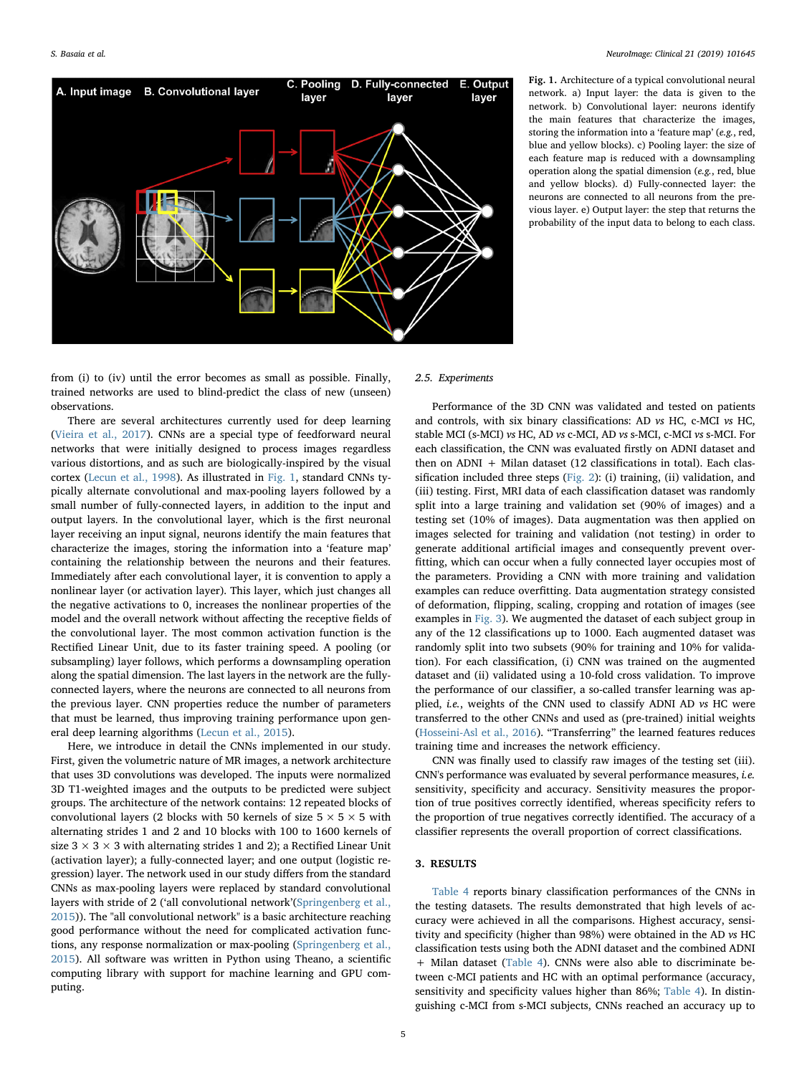<span id="page-4-0"></span>

Fig. 1. Architecture of a typical convolutional neural network. a) Input layer: the data is given to the network. b) Convolutional layer: neurons identify the main features that characterize the images, storing the information into a 'feature map' (e.g., red, blue and yellow blocks). c) Pooling layer: the size of each feature map is reduced with a downsampling operation along the spatial dimension (e.g., red, blue and yellow blocks). d) Fully-connected layer: the neurons are connected to all neurons from the previous layer. e) Output layer: the step that returns the probability of the input data to belong to each class.

from (i) to (iv) until the error becomes as small as possible. Finally, trained networks are used to blind-predict the class of new (unseen) observations.

There are several architectures currently used for deep learning ([Vieira et al., 2017](#page-7-8)). CNNs are a special type of feedforward neural networks that were initially designed to process images regardless various distortions, and as such are biologically-inspired by the visual cortex [\(Lecun et al., 1998](#page-7-16)). As illustrated in [Fig. 1](#page-4-0), standard CNNs typically alternate convolutional and max-pooling layers followed by a small number of fully-connected layers, in addition to the input and output layers. In the convolutional layer, which is the first neuronal layer receiving an input signal, neurons identify the main features that characterize the images, storing the information into a 'feature map' containing the relationship between the neurons and their features. Immediately after each convolutional layer, it is convention to apply a nonlinear layer (or activation layer). This layer, which just changes all the negative activations to 0, increases the nonlinear properties of the model and the overall network without affecting the receptive fields of the convolutional layer. The most common activation function is the Rectified Linear Unit, due to its faster training speed. A pooling (or subsampling) layer follows, which performs a downsampling operation along the spatial dimension. The last layers in the network are the fullyconnected layers, where the neurons are connected to all neurons from the previous layer. CNN properties reduce the number of parameters that must be learned, thus improving training performance upon general deep learning algorithms [\(Lecun et al., 2015\)](#page-7-6).

Here, we introduce in detail the CNNs implemented in our study. First, given the volumetric nature of MR images, a network architecture that uses 3D convolutions was developed. The inputs were normalized 3D T1-weighted images and the outputs to be predicted were subject groups. The architecture of the network contains: 12 repeated blocks of convolutional layers (2 blocks with 50 kernels of size  $5 \times 5 \times 5$  with alternating strides 1 and 2 and 10 blocks with 100 to 1600 kernels of size  $3 \times 3 \times 3$  with alternating strides 1 and 2); a Rectified Linear Unit (activation layer); a fully-connected layer; and one output (logistic regression) layer. The network used in our study differs from the standard CNNs as max-pooling layers were replaced by standard convolutional layers with stride of 2 ('all convolutional network'[\(Springenberg et al.,](#page-7-17) [2015\)](#page-7-17)). The "all convolutional network" is a basic architecture reaching good performance without the need for complicated activation functions, any response normalization or max-pooling [\(Springenberg et al.,](#page-7-17) [2015\)](#page-7-17). All software was written in Python using Theano, a scientific computing library with support for machine learning and GPU computing.

#### 2.5. Experiments

Performance of the 3D CNN was validated and tested on patients and controls, with six binary classifications: AD vs HC, c-MCI vs HC, stable MCI (s-MCI) vs HC, AD vs c-MCI, AD vs s-MCI, c-MCI vs s-MCI. For each classification, the CNN was evaluated firstly on ADNI dataset and then on ADNI + Milan dataset (12 classifications in total). Each classification included three steps ([Fig. 2\)](#page-5-0): (i) training, (ii) validation, and (iii) testing. First, MRI data of each classification dataset was randomly split into a large training and validation set (90% of images) and a testing set (10% of images). Data augmentation was then applied on images selected for training and validation (not testing) in order to generate additional artificial images and consequently prevent overfitting, which can occur when a fully connected layer occupies most of the parameters. Providing a CNN with more training and validation examples can reduce overfitting. Data augmentation strategy consisted of deformation, flipping, scaling, cropping and rotation of images (see examples in [Fig. 3](#page-6-0)). We augmented the dataset of each subject group in any of the 12 classifications up to 1000. Each augmented dataset was randomly split into two subsets (90% for training and 10% for validation). For each classification, (i) CNN was trained on the augmented dataset and (ii) validated using a 10-fold cross validation. To improve the performance of our classifier, a so-called transfer learning was applied, i.e., weights of the CNN used to classify ADNI AD vs HC were transferred to the other CNNs and used as (pre-trained) initial weights ([Hosseini-Asl et al., 2016](#page-7-13)). "Transferring" the learned features reduces training time and increases the network efficiency.

CNN was finally used to classify raw images of the testing set (iii). CNN's performance was evaluated by several performance measures, i.e. sensitivity, specificity and accuracy. Sensitivity measures the proportion of true positives correctly identified, whereas specificity refers to the proportion of true negatives correctly identified. The accuracy of a classifier represents the overall proportion of correct classifications.

# 3. RESULTS

[Table 4](#page-6-1) reports binary classification performances of the CNNs in the testing datasets. The results demonstrated that high levels of accuracy were achieved in all the comparisons. Highest accuracy, sensitivity and specificity (higher than 98%) were obtained in the AD vs HC classification tests using both the ADNI dataset and the combined ADNI + Milan dataset [\(Table 4\)](#page-6-1). CNNs were also able to discriminate between c-MCI patients and HC with an optimal performance (accuracy, sensitivity and specificity values higher than 86%; [Table 4](#page-6-1)). In distinguishing c-MCI from s-MCI subjects, CNNs reached an accuracy up to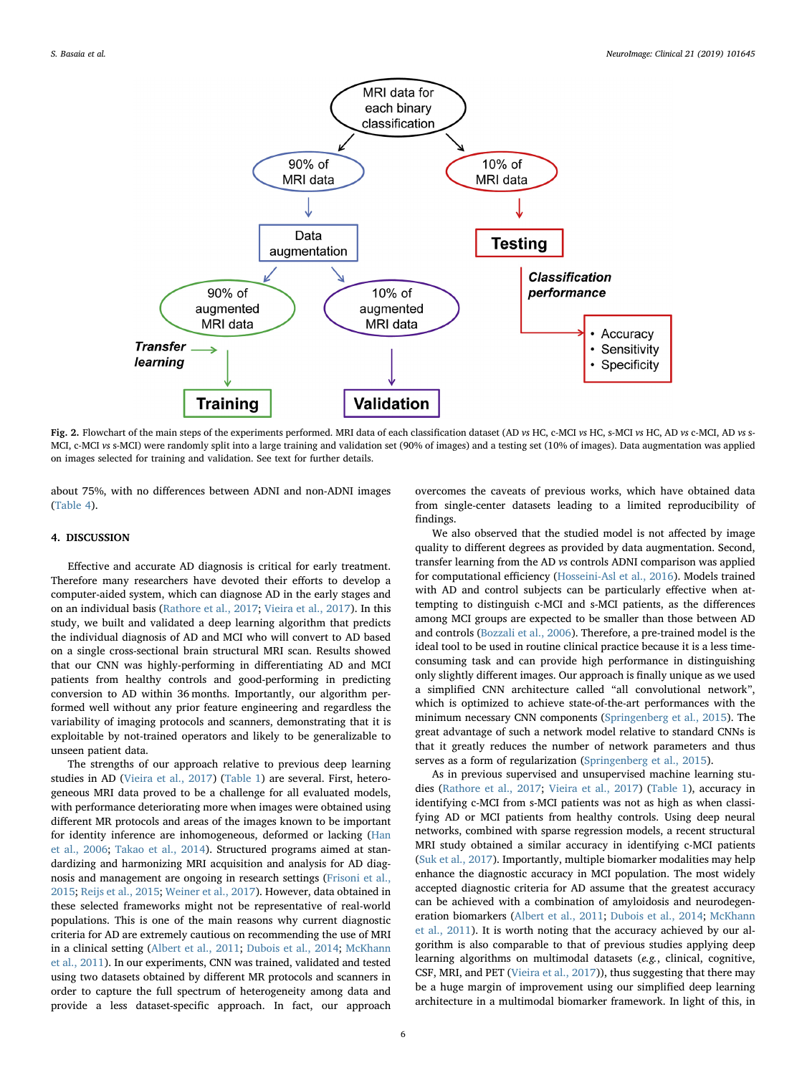<span id="page-5-0"></span>

Fig. 2. Flowchart of the main steps of the experiments performed. MRI data of each classification dataset (AD vs HC, c-MCI vs HC, s-MCI vs HC, AD vs c-MCI, AD vs s-MCI, c-MCI vs s-MCI) were randomly split into a large training and validation set (90% of images) and a testing set (10% of images). Data augmentation was applied on images selected for training and validation. See text for further details.

about 75%, with no differences between ADNI and non-ADNI images ([Table 4](#page-6-1)).

## 4. DISCUSSION

Effective and accurate AD diagnosis is critical for early treatment. Therefore many researchers have devoted their efforts to develop a computer-aided system, which can diagnose AD in the early stages and on an individual basis [\(Rathore et al., 2017;](#page-7-5) [Vieira et al., 2017\)](#page-7-8). In this study, we built and validated a deep learning algorithm that predicts the individual diagnosis of AD and MCI who will convert to AD based on a single cross-sectional brain structural MRI scan. Results showed that our CNN was highly-performing in differentiating AD and MCI patients from healthy controls and good-performing in predicting conversion to AD within 36 months. Importantly, our algorithm performed well without any prior feature engineering and regardless the variability of imaging protocols and scanners, demonstrating that it is exploitable by not-trained operators and likely to be generalizable to unseen patient data.

The strengths of our approach relative to previous deep learning studies in AD ([Vieira et al., 2017](#page-7-8)) ([Table 1\)](#page-1-0) are several. First, heterogeneous MRI data proved to be a challenge for all evaluated models, with performance deteriorating more when images were obtained using different MR protocols and areas of the images known to be important for identity inference are inhomogeneous, deformed or lacking [\(Han](#page-7-18) [et al., 2006;](#page-7-18) [Takao et al., 2014\)](#page-7-19). Structured programs aimed at standardizing and harmonizing MRI acquisition and analysis for AD diagnosis and management are ongoing in research settings [\(Frisoni et al.,](#page-7-20) [2015;](#page-7-20) [Reijs et al., 2015;](#page-7-21) [Weiner et al., 2017\)](#page-7-22). However, data obtained in these selected frameworks might not be representative of real-world populations. This is one of the main reasons why current diagnostic criteria for AD are extremely cautious on recommending the use of MRI in a clinical setting ([Albert et al., 2011](#page-7-0); [Dubois et al., 2014](#page-7-1); [McKhann](#page-7-2) [et al., 2011](#page-7-2)). In our experiments, CNN was trained, validated and tested using two datasets obtained by different MR protocols and scanners in order to capture the full spectrum of heterogeneity among data and provide a less dataset-specific approach. In fact, our approach

overcomes the caveats of previous works, which have obtained data from single-center datasets leading to a limited reproducibility of findings.

We also observed that the studied model is not affected by image quality to different degrees as provided by data augmentation. Second, transfer learning from the AD vs controls ADNI comparison was applied for computational efficiency ([Hosseini-Asl et al., 2016](#page-7-13)). Models trained with AD and control subjects can be particularly effective when attempting to distinguish c-MCI and s-MCI patients, as the differences among MCI groups are expected to be smaller than those between AD and controls ([Bozzali et al., 2006\)](#page-7-23). Therefore, a pre-trained model is the ideal tool to be used in routine clinical practice because it is a less timeconsuming task and can provide high performance in distinguishing only slightly different images. Our approach is finally unique as we used a simplified CNN architecture called "all convolutional network", which is optimized to achieve state-of-the-art performances with the minimum necessary CNN components ([Springenberg et al., 2015\)](#page-7-17). The great advantage of such a network model relative to standard CNNs is that it greatly reduces the number of network parameters and thus serves as a form of regularization [\(Springenberg et al., 2015\)](#page-7-17).

As in previous supervised and unsupervised machine learning studies ([Rathore et al., 2017;](#page-7-5) [Vieira et al., 2017\)](#page-7-8) ([Table 1\)](#page-1-0), accuracy in identifying c-MCI from s-MCI patients was not as high as when classifying AD or MCI patients from healthy controls. Using deep neural networks, combined with sparse regression models, a recent structural MRI study obtained a similar accuracy in identifying c-MCI patients ([Suk et al., 2017\)](#page-7-10). Importantly, multiple biomarker modalities may help enhance the diagnostic accuracy in MCI population. The most widely accepted diagnostic criteria for AD assume that the greatest accuracy can be achieved with a combination of amyloidosis and neurodegeneration biomarkers ([Albert et al., 2011;](#page-7-0) [Dubois et al., 2014](#page-7-1); [McKhann](#page-7-2) [et al., 2011\)](#page-7-2). It is worth noting that the accuracy achieved by our algorithm is also comparable to that of previous studies applying deep learning algorithms on multimodal datasets (e.g., clinical, cognitive, CSF, MRI, and PET [\(Vieira et al., 2017](#page-7-8))), thus suggesting that there may be a huge margin of improvement using our simplified deep learning architecture in a multimodal biomarker framework. In light of this, in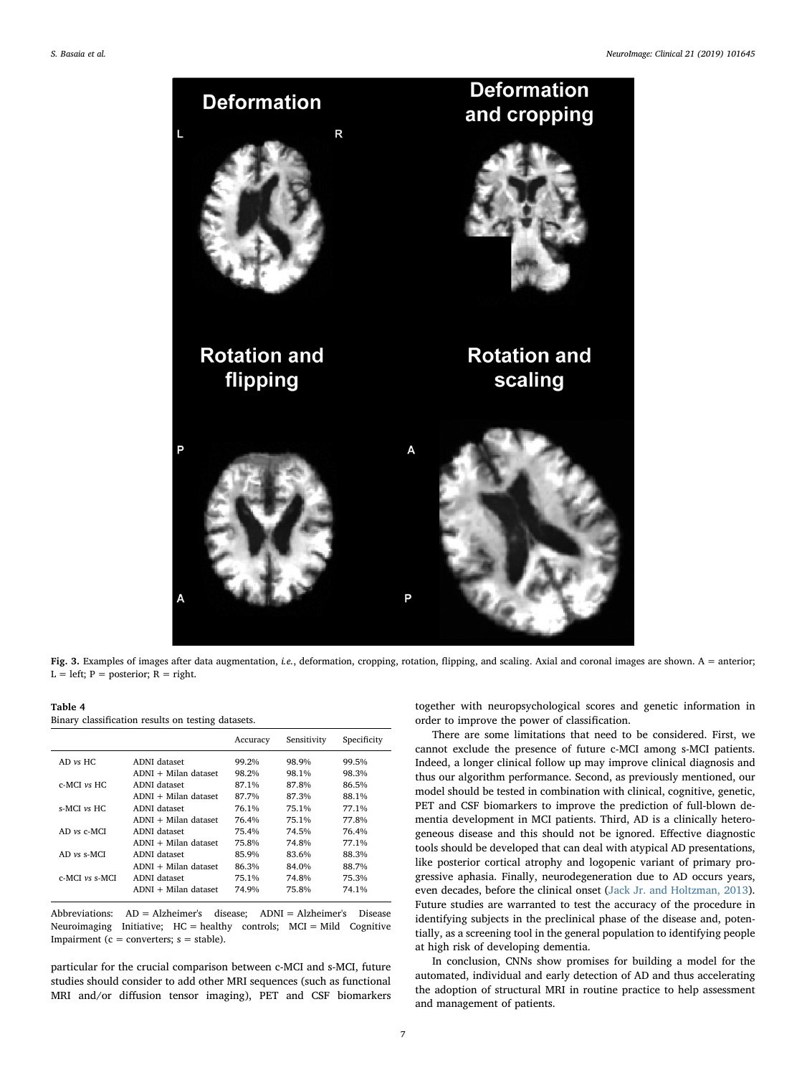<span id="page-6-0"></span>

Fig. 3. Examples of images after data augmentation, i.e., deformation, cropping, rotation, flipping, and scaling. Axial and coronal images are shown. A = anterior;  $L = left$ ;  $P = posterior$ ;  $R = right$ .

<span id="page-6-1"></span>Table 4 Binary classification results on testing datasets.

|                     |                        | Accuracy | Sensitivity | Specificity |
|---------------------|------------------------|----------|-------------|-------------|
| $AD$ vs $HC$        | ADNI dataset           | 99.2%    | 98.9%       | 99.5%       |
|                     | $ADNI + Milan dataset$ | 98.2%    | 98.1%       | 98.3%       |
| $c$ -MCI $\nu s$ HC | ADNI dataset           | 87.1%    | 87.8%       | 86.5%       |
|                     | $ADNI + Milan dataset$ | 87.7%    | 87.3%       | 88.1%       |
| $s-MCI$ vs $HC$     | ADNI dataset           | 76.1%    | 75.1%       | 77.1%       |
|                     | $ADNI + Milan dataset$ | 76.4%    | 75.1%       | 77.8%       |
| $AD$ vs $c$ -MCI    | ADNI dataset           | 75.4%    | 74.5%       | 76.4%       |
|                     | ADNI + Milan dataset   | 75.8%    | 74.8%       | 77.1%       |
| $AD$ vs s-MCI       | ADNI dataset           | 85.9%    | 83.6%       | 88.3%       |
|                     | $ADNI + Milan dataset$ | 86.3%    | 84.0%       | 88.7%       |
| $c$ -MCI $vs$ s-MCI | ADNI dataset           | 75.1%    | 74.8%       | 75.3%       |
|                     | $ADNI + Milan dataset$ | 74.9%    | 75.8%       | 74.1%       |

Abbreviations: AD = Alzheimer's disease; ADNI = Alzheimer's Disease Neuroimaging Initiative; HC = healthy controls; MCI = Mild Cognitive Impairment ( $c =$  converters;  $s =$  stable).

particular for the crucial comparison between c-MCI and s-MCI, future studies should consider to add other MRI sequences (such as functional MRI and/or diffusion tensor imaging), PET and CSF biomarkers together with neuropsychological scores and genetic information in order to improve the power of classification.

There are some limitations that need to be considered. First, we cannot exclude the presence of future c-MCI among s-MCI patients. Indeed, a longer clinical follow up may improve clinical diagnosis and thus our algorithm performance. Second, as previously mentioned, our model should be tested in combination with clinical, cognitive, genetic, PET and CSF biomarkers to improve the prediction of full-blown dementia development in MCI patients. Third, AD is a clinically heterogeneous disease and this should not be ignored. Effective diagnostic tools should be developed that can deal with atypical AD presentations, like posterior cortical atrophy and logopenic variant of primary progressive aphasia. Finally, neurodegeneration due to AD occurs years, even decades, before the clinical onset [\(Jack Jr. and Holtzman, 2013](#page-7-24)). Future studies are warranted to test the accuracy of the procedure in identifying subjects in the preclinical phase of the disease and, potentially, as a screening tool in the general population to identifying people at high risk of developing dementia.

In conclusion, CNNs show promises for building a model for the automated, individual and early detection of AD and thus accelerating the adoption of structural MRI in routine practice to help assessment and management of patients.